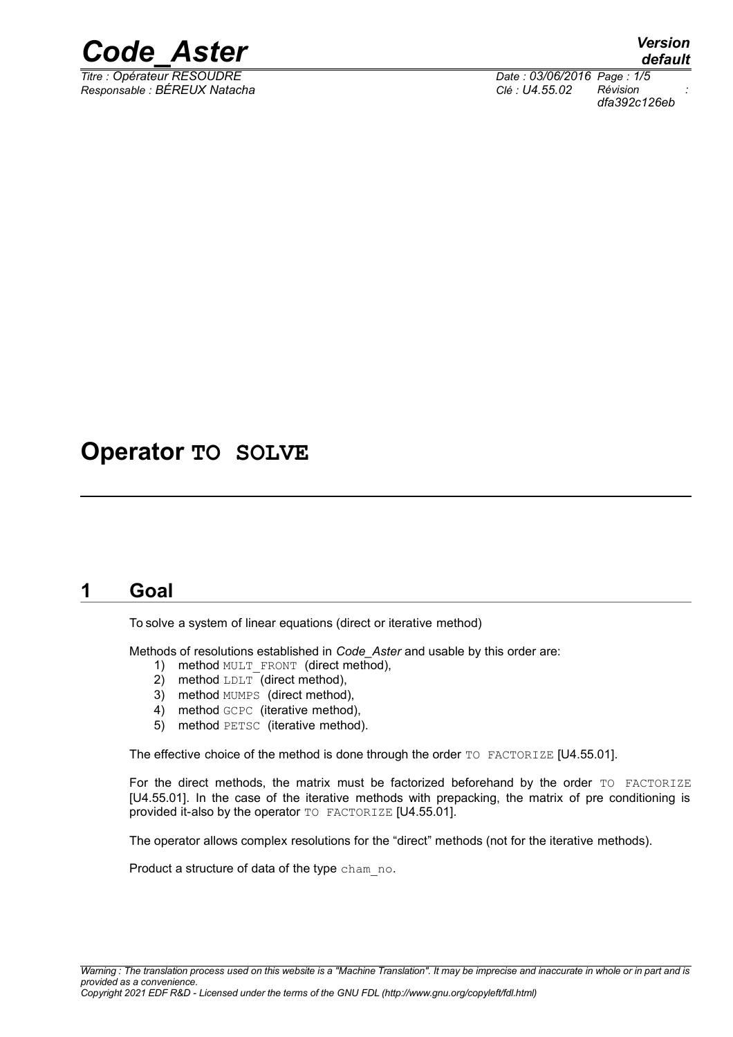

*Titre : Opérateur RESOUDRE Date : 03/06/2016 Page : 1/5 Responsable : BÉREUX Natacha Clé : U4.55.02 Révision :*

*dfa392c126eb*

# **Operator TO SOLVE**

# **1 Goal**

To solve a system of linear equations (direct or iterative method)

Methods of resolutions established in *Code\_Aster* and usable by this order are:

- 1) method MULT FRONT (direct method),
- 2) method LDLT (direct method),
- 3) method MUMPS (direct method),
- 4) method GCPC (iterative method),
- 5) method PETSC (iterative method).

The effective choice of the method is done through the order TO FACTORIZE [U4.55.01].

For the direct methods, the matrix must be factorized beforehand by the order TO FACTORIZE [U4.55.01]. In the case of the iterative methods with prepacking, the matrix of pre conditioning is provided it-also by the operator TO FACTORIZE [U4.55.01].

The operator allows complex resolutions for the "direct" methods (not for the iterative methods).

Product a structure of data of the type cham no.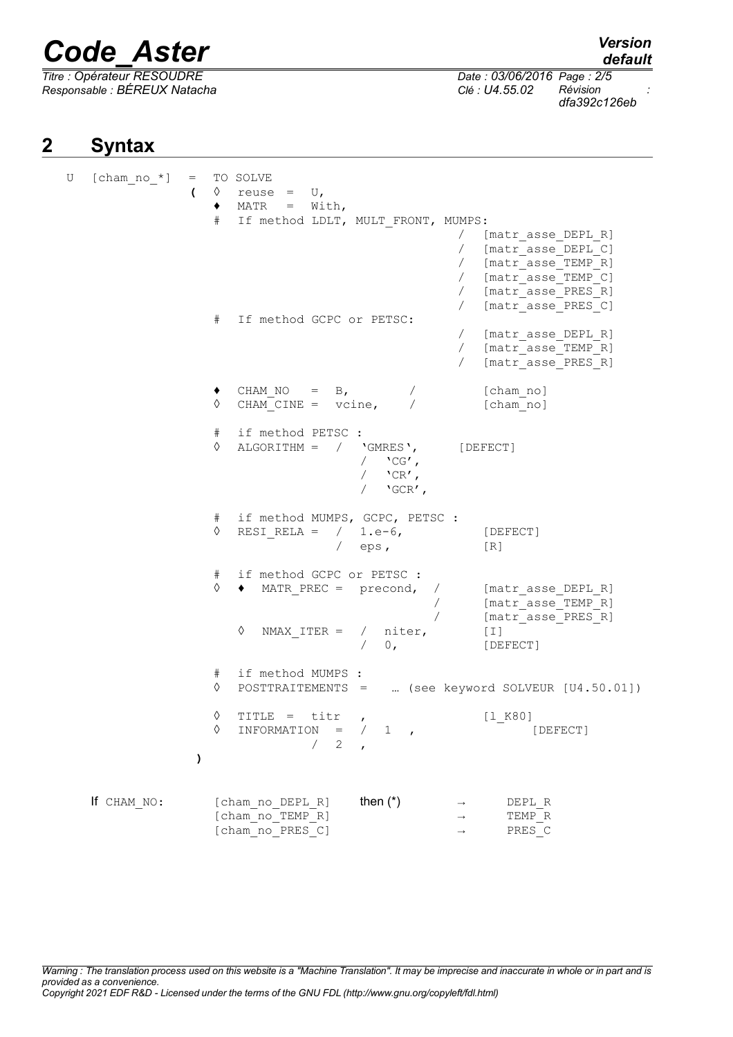*Titre : Opérateur RESOUDRE Date : 03/06/2016 Page : 2/5 Responsable : BÉREUX Natacha Clé : U4.55.02 Révision :*

*default*

*dfa392c126eb*

# **2 Syntax**

U [cham no  $*$ ] = TO SOLVE  $\left(\begin{array}{cccc} \Diamond & \mathsf{reuse} & = & \mathsf{U}_r \end{array}\right)$  $\triangleleft$  MATR = With, # If method LDLT, MULT FRONT, MUMPS: / [matr\_asse\_DEPL\_R] / [matr\_asse\_DEPL\_C] / [matr\_asse\_TEMP\_R] / [matr\_asse\_TEMP\_C] / [matr\_asse\_PRES\_R] / [matr\_asse\_PRES\_C] # If method GCPC or PETSC: / [matr\_asse\_DEPL\_R] / [matr\_asse\_TEMP\_R] / [matr\_asse\_PRES\_R] CHAM\_NO =  $B$ , / [cham\_no]  $\Diamond$  CHAM CINE = vcine, / [cham\_no]  $#$  if method PETSC :<br>  $\Diamond$  ALGORITHM = / 'GMRES', ◊ ALGORITHM = / 'GMRES', [DEFECT]  $/$  'CG',  $/$  'CR',  $/$  'GCR', # if method MUMPS, GCPC, PETSC :  $\Diamond$  RESI\_RELA = / 1.e-6, [DEFECT]  $/$  eps,  $[R]$ # if method GCPC or PETSC : ◊ ♦ MATR\_PREC = precond, / [matr\_asse\_DEPL\_R] / [matr\_asse\_TEMP\_R]<br>/ [matr\_asse\_PRES\_P1 [matr\_asse\_PRES\_R] ◊ NMAX\_ITER = / niter, [I] / 0, [DEFECT] # if method MUMPS : ◊ POSTTRAITEMENTS = … (see keyword SOLVEUR [U4.50.01]) ◊ TITLE = titr , [l\_K80]  $\Diamond$  INFORMATION = / 1 ,  $\Box$  [DEFECT]  $/2$ **)**  $\begin{array}{ccc}\n\text{If } \text{CHAM}\_ \text{NO}: & \text{[cham}\_ \text{no}\_ \text{DEPL}\_ \text{R}\n\end{array}$   $\begin{array}{ccc}\n\text{then } (*) & \rightarrow & \text{DEPL}\_ \text{REMP}\_ \text{R}\n\end{array}$  $[cham_no_TEMP_R]$   $\rightarrow$   $TEMP_R$ <br> $[cham_no_TERES_C]$   $\rightarrow$   $PRES_C$  $[chamno-PRES C]$  →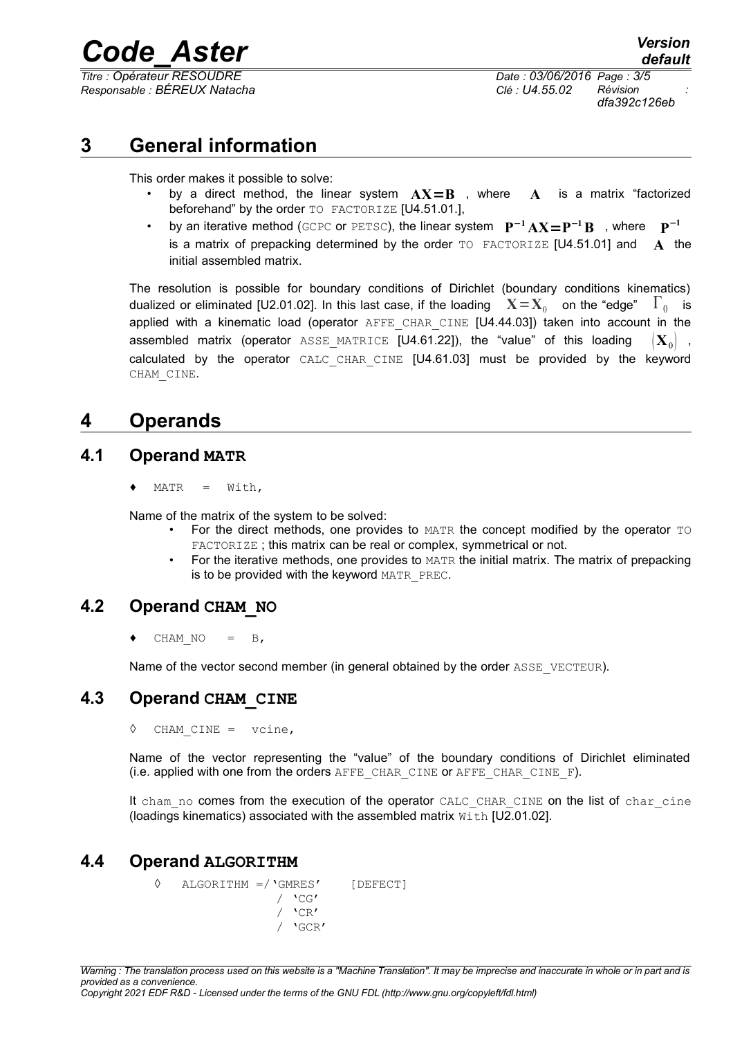*Responsable : BÉREUX Natacha Clé : U4.55.02 Révision :*

*Titre : Opérateur RESOUDRE Date : 03/06/2016 Page : 3/5 dfa392c126eb*

# **3 General information**

This order makes it possible to solve:

- by a direct method, the linear system  $AX = B$ , where  $A$  is a matrix "factorized beforehand" by the order TO FACTORIZE [U4.51.01.],
- **•** by an iterative method (GCPC or PETSC), the linear system  $P^{-1}AX = P^{-1}B$ , where  $P^{-1}$ is a matrix of prepacking determined by the order TO FACTORIZE [U4.51.01] and **A** the initial assembled matrix.

The resolution is possible for boundary conditions of Dirichlet (boundary conditions kinematics) dualized or eliminated [U2.01.02]. In this last case, if the loading  $\mathbf{X}\!=\!\mathbf{X}_0\!$  on the "edge"  $\mathbf{\Gamma}_0\!$  is applied with a kinematic load (operator AFFE CHAR CINE [U4.44.03]) taken into account in the assembled matrix (operator ASSE MATRICE [U4.61.22]), the "value" of this loading  $\mathbf{X}_0$  , calculated by the operator CALC\_CHAR\_CINE [U4.61.03] must be provided by the keyword CHAM\_CINE.

# **4 Operands**

#### **4.1 Operand MATR**

 $MATR = With,$ 

Name of the matrix of the system to be solved:

- For the direct methods, one provides to MATR the concept modified by the operator TO FACTORIZE; this matrix can be real or complex, symmetrical or not.
- For the iterative methods, one provides to MATR the initial matrix. The matrix of prepacking is to be provided with the keyword MATR\_PREC.

#### **4.2 Operand CHAM\_NO**

CHAM  $NO = B$ ,

Name of the vector second member (in general obtained by the order ASSE\_VECTEUR).

#### **4.3 Operand CHAM\_CINE**

◊ CHAM\_CINE = vcine,

Name of the vector representing the "value" of the boundary conditions of Dirichlet eliminated (i.e. applied with one from the orders  $A$ FFE CHAR CINE Or  $A$ FFE CHAR CINE F).

It cham no comes from the execution of the operator CALC\_CHAR\_CINE on the list of char\_cine (loadings kinematics) associated with the assembled matrix  $W$ ith [U2.01.02].

#### **4.4 Operand ALGORITHM**

◊ ALGORITHM =/'GMRES' [DEFECT]  $/$  'CG'  $/$  'CR' / 'GCR'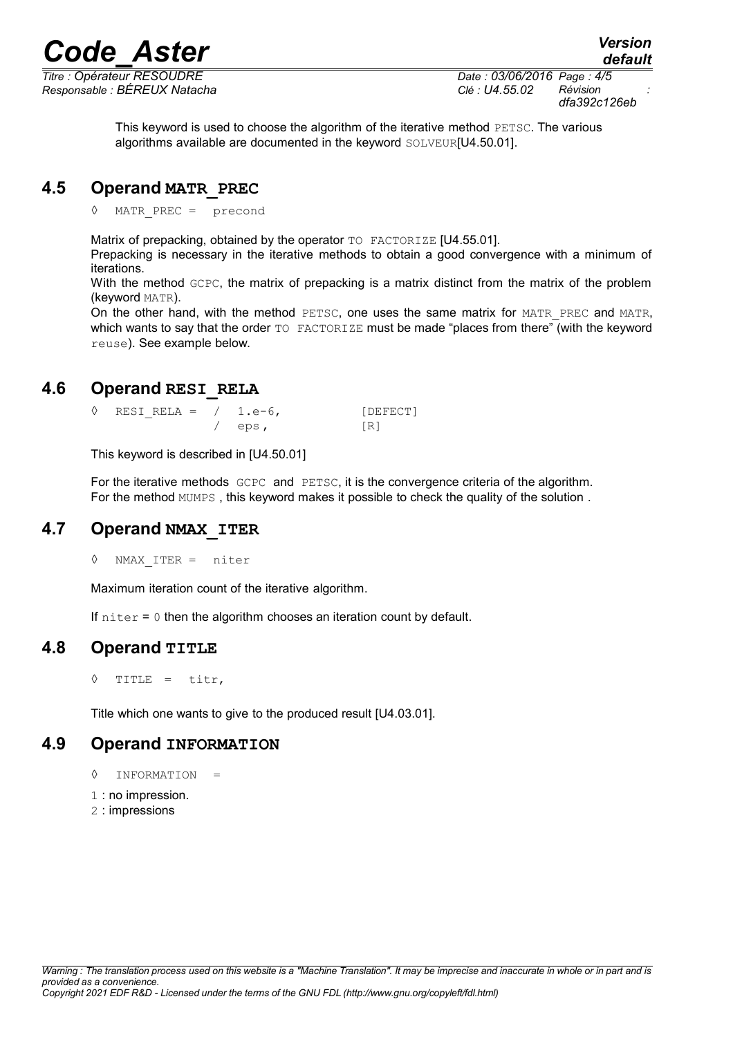*Titre : Opérateur RESOUDRE Date : 03/06/2016 Page : 4/5 dfa392c126eb*

> This keyword is used to choose the algorithm of the iterative method PETSC. The various algorithms available are documented in the keyword SOLVEUR[U4.50.01].

#### **4.5 Operand MATR\_PREC**

MATR PREC =  $precond$ 

Matrix of prepacking, obtained by the operator TO FACTORIZE [U4.55.01].

Prepacking is necessary in the iterative methods to obtain a good convergence with a minimum of iterations.

With the method GCPC, the matrix of prepacking is a matrix distinct from the matrix of the problem (keyword MATR).

On the other hand, with the method PETSC, one uses the same matrix for MATR PREC and MATR, which wants to say that the order TO FACTORIZE must be made "places from there" (with the keyword reuse). See example below.

#### **4.6 Operand RESI\_RELA**

 $\Diamond$  RESIRELA = / 1.e-6, [DEFECT] eps, [R]

This keyword is described in [U4.50.01]

For the iterative methods GCPC and PETSC, it is the convergence criteria of the algorithm. For the method MUMPS , this keyword makes it possible to check the quality of the solution .

#### **4.7 Operand NMAX\_ITER**

◊ NMAX\_ITER = niter

Maximum iteration count of the iterative algorithm.

If  $niter = 0$  then the algorithm chooses an iteration count by default.

#### **4.8 Operand TITLE**

◊ TITLE = titr,

Title which one wants to give to the produced result [U4.03.01].

#### **4.9 Operand INFORMATION**

- ◊ INFORMATION =
- 1 : no impression.
- 2 : impressions